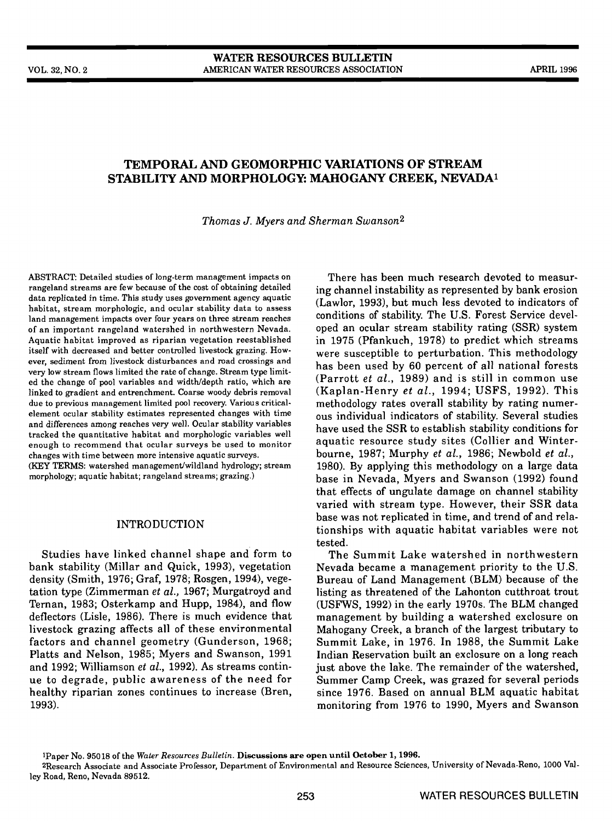# TEMPORAL AND GEOMORPHIC VARIATIONS OF STREAM STABILITY AND MORPHOLOGY: MAHOGANY CREEK, NEVADA'

Thomas J. Myers and Sherman Swanson2

ABSTRACT: Detailed studies of long-term management impacts on rangeland streams are few because of the cost of obtaining detailed data replicated in time. This study uses government agency aquatic habitat, stream morphologic, and ocular stability data to assess land management impacts over four years on three stream reaches of an important rangeland watershed in northwestern Nevada. Aquatic habitat improved as riparian vegetation reestablished in 1975 (Pfankuch, 1978) to predict which streams<br>itself with decreased and better controlled livestock grazing. How-<br>were susceptible to perturbation. This met itself with decreased and better controlled livestock grazing. However, sediment from livestock disturbances and road crossings and very low stream flows limited the rate of change. Stream type limited the change of pool variables and width/depth ratio, which are linked to gradient and entrenchment. Coarse woody debris removal (Kaplan-Henry *et al.*, 1994; USFS, 1992). This due to previous management limited pool recovery. Various critical-<br>methodology rates overall stability by r due to previous management limited pool recovery. Various criticalelement ocular stability estimates represented changes with time and differences among reaches very well. Ocular stability variables tracked the quantitative habitat and morphologic variables well enough to recommend that ocular surveys be used to monitor changes with time between more intensive aquatic surveys. (KEY TERMS: watershed management/wildland hydrology; stream morphology; aquatic habitat; rangeland streams; grazing.)

# INTRODUCTION

Studies have linked channel shape and form to bank stability (Millar and Quick, 1993), vegetation density (Smith, 1976; Graf, 1978; Rosgen, 1994), vegetation type (Zimmerman et al., 1967; Murgatroyd and Ternan, 1983; Osterkamp and Hupp, 1984), and flow deflectors (Lisle, 1986). There is much evidence that livestock grazing affects all of these environmental factors and channel geometry (Gunderson, 1968; Platts and Nelson, 1985; Myers and Swanson, 1991 and 1992; Williamson et al., 1992). As streams continue to degrade, public awareness of the need for Summer Camp Creek, was grazed for several periods healthy riparian zones continues to increase (Bren, 1993).

There has been much research devoted to measuring channel instability as represented by bank erosion (Lawlor, 1993), but much less devoted to indicators of conditions of stability. The U.S. Forest Service developed an ocular stream stability rating (SSR) system in 1975 (Pfankuch, 1978) to predict which streams has been used by 60 percent of all national forests (Parrott et al., 1989) and is still in common use (Kaplan-Henry et al., 1994; USFS, 1992). This ous individual indicators of stability. Several studies have used the SSR to establish stability conditions for aquatic resource study sites (Collier and Winterbourne, 1987; Murphy et al., 1986; Newbold et al., 1980). By applying this methodology on a large data base in Nevada, Myers and Swanson (1992) found that effects of ungulate damage on channel stability varied with stream type. However, their SSR data base was not replicated in time, and trend of and relationships with aquatic habitat variables were not tested.

The Summit Lake watershed in northwestern Nevada became a management priority to the U.S. Bureau of Land Management (BLM) because of the listing as threatened of the Lahonton cutthroat trout (USFWS, 1992) in the early 1970s. The BLM changed management by building a watershed exciosure on Mahogany Creek, a branch of the largest tributary to Summit Lake, in 1976. In 1988, the Summit Lake Indian Reservation built an exclosure on a long reach just above the lake. The remainder of the watershed, since 1976. Based on annual BLM aquatic habitat monitoring from 1976 to 1990, Myers and Swanson

'Paper No. 95018 of the Water Resources Bulletin. Discussions areopen until October 1, 1996.

2Research Associate and Associate Professor, Department of Environmental and Resource Sciences, University of Nevada-Reno, 1000 Valley Road, Reno, Nevada 89512.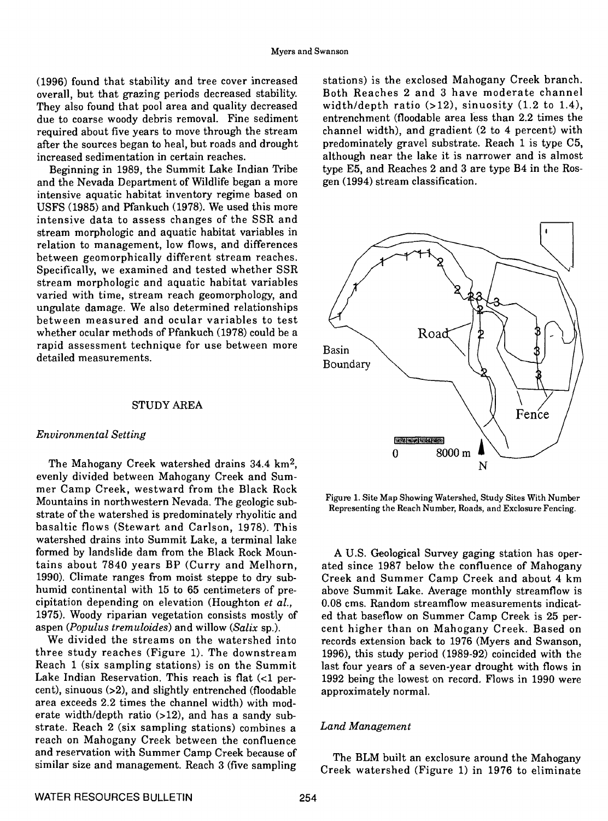overall, but that grazing periods decreased stability. They also found that pool area and quality decreased width/depth ratio  $(>12)$ , sinuosity  $(1.2 \text{ to } 1.4)$ , due to coarse woody debris removal. Fine sediment entrenchment (floodable area less than 2.2 times the due to coarse woody debris removal. Fine sediment required about five years to move through the stream after the sources began to heal, but roads and drought increased sedimentation in certain reaches.

Beginning in 1989, the Summit Lake Indian Tribe and the Nevada Department of Wildlife began a more intensive aquatic habitat inventory regime based on USFS (1985) and Pfankuch (1978). We used this more intensive data to assess changes of the SSR and stream morphologic and aquatic habitat variables in relation to management, low flows, and differences between geomorphically different stream reaches. Specifically, we examined and tested whether SSR stream morphologic and aquatic habitat variables varied with time, stream reach geomorphology, and ungulate damage. We also determined relationships between measured and ocular variables to test whether ocular methods of Pfankuch (1978) could be a rapid assessment technique for use between more Basin detailed measurements.

### STUDY AREA

### Environmental Setting

The Mahogany Creek watershed drains 34.4 km2, evenly divided between Mahogany Creek and Summer Camp Creek, westward from the Black Rock Mountains in northwestern Nevada. The geologic substrate of the watershed is predominately rhyolitic and basaltic flows (Stewart and Carison, 1978). This watershed drains into Summit Lake, a terminal lake formed by landslide dam from the Black Rock Mountains about 7840 years BP (Curry and Melhorn, 1990). Climate ranges from moist steppe to dry subhumid continental with 15 to 65 centimeters of precipitation depending on elevation (Houghton et al., 1975). Woody riparian vegetation consists mostly of aspen (*Populus tremuloides*) and willow  $(Salix$  sp.).

We divided the streams on the watershed into three study reaches (Figure 1). The downstream Reach 1 (six sampling stations) is on the Summit Lake Indian Reservation. This reach is flat  $(1$  percent), sinuous (>2), and slightly entrenched (floodable area exceeds 2.2 times the channel width) with moderate width/depth ratio  $(>12)$ , and has a sandy substrate. Reach 2 (six sampling stations) combines a reach on Mahogany Creek between the confluence and reservation with Summer Camp Creek because of similar size and management. Reach 3 (five sampling

(1996) found that stability and tree cover increased stations) is the exclosed Mahogany Creek branch.<br>
overall but that grazing periods decreased stability. Both Reaches 2 and 3 have moderate channel stations) is the exclosed Mahogany Creek branch. width/depth ratio  $(>12)$ , sinuosity  $(1.2$  to  $1.4)$ , channel width), and gradient (2 to 4 percent) with predominately gravel substrate. Reach 1 is type C5, although near the lake it is narrower and is almost type E5, and Reaches 2 and 3 are type B4 in the Rosgen (1994) stream classification.



Figure 1. Site Map Showing Watershed, Study Sites With Number Representing the Reach Number, Roads, and Exciosure Fencing.

A U.S. Geological Survey gaging station has operated since 1987 below the confluence of Mahogany Creek and Summer Camp Creek and about 4 km above Summit Lake. Average monthly streamfiow is 0.08 cms. Random streamfiow measurements indicated that baseflow on Summer Camp Creek is 25 percent higher than on Mahogany Creek. Based on records extension back to 1976 (Myers and Swanson, 1996), this study period (1989-92) coincided with the last four years of a seven-year drought with flows in 1992 being the lowest on record. Flows in 1990 were approximately normal.

# Land Management

The BLM built an exciosure around the Mahogany Creek watershed (Figure 1) in 1976 to eliminate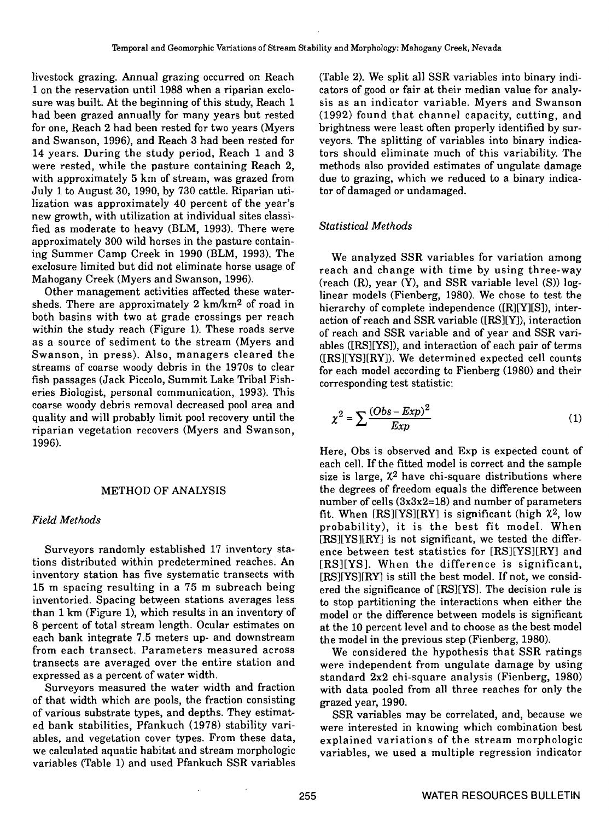livestock grazing. Annual grazing occurred on Reach (Table 2). We split all SSR variables into binary mdi-1 on the reservation until 1988 when a riparian exclo- cators of good or fair at their median value for analysure was built. At the beginning of this study, Reach 1 sis as an indicator variable. Myers and Swanson<br>had been grazed annually for many years but rested (1992) found that channel capacity, cutting, and for one, Reach 2 had been rested for two years (Myers and Swanson, 1996), and Reach 3 had been rested for veyors. The splitting of variables into binary indica-14 years. During the study period, Reach 1 and 3 tors should eliminate much of this variability. The were rested, while the pasture containing Reach 2, methods also provided estimates of ungulate damage with approximately 5 km of stream, was grazed from due to grazing, which we reduced July 1 to August 30, 1990, by 730 cattle. Riparian uti-July 1 to August 30, 1990, by 730 cattle. Riparian utilization was approximately 40 percent of the year's new growth, with utilization at individual sites classified as moderate to heavy (BLM, 1993). There were Statistical Methods approximately 300 wild horses in the pasture containing Summer Camp Creek in 1990 (BLM, 1993). The exciosure limited but did not eliminate horse usage of Mahogany Creek (Myers and Swanson, 1996).

Other management activities affected these watersheds. There are approximately 2 km/km2 of road in both basins with two at grade crossings per reach within the study reach (Figure 1). These roads serve as a source of sediment to the stream (Myers and Swanson, in press). Also, managers cleared the streams of coarse woody debris in the 1970s to clear fish passages (Jack Piccolo, Summit Lake Tribal Fisheries Biologist, personal communication, 1993). This coarse woody debris removal decreased pooi area and quality and will probably limit pool recovery until the (1) riparian vegetation recovers (Myers and Swanson,

Surveyors randomly established 17 inventory sta tions distributed within predetermined reaches. An inventory station has five systematic transects with [RS][YS][RY] is still the best model. If not, we considinventory station has five systematic transects with [RS][YS][RY] is still the best model. If not, we consid-<br>15 m spacing resulting in a 75 m subreach being ered the significance of [RS][YS]. The decision rule is inventoried. Spacing between stations averages less than 1 km (Figure 1), which results in an inventory of model or the difference between models is significant 8 percent of total stream length. Ocular estimates on each bank integrate 7.5 meters up- and downstream from each transect. Parameters measured across expressed as a percent of water width.

Surveyors measured the water width and fraction Surveyors measured the water width and fraction with data pooled from all three reaches for only the of that width which are pools, the fraction consisting grazed year, 1990. of various substrate types, and depths. They estimated bank stabilities, Pfankuch (1978) stability vanables, and vegetation cover types. From these data, we calculated aquatic habitat and stream morphologic variables (Table 1) and used Pfankuch SSR variables

(1992) found that channel capacity, cutting, and<br>brightness were least often properly identified by surmethods also provided estimates of ungulate damage<br>due to grazing, which we reduced to a binary indica-

We analyzed SSR variables for variation among reach and change with time by using three-way (reach (R), year (Y), and SSR variable level (5)) loglinear models (Fienberg, 1980). We chose to test the hierarchy of complete independence ([R][Y][S]), interaction of reach and SSR variable ([RS][Y]), interaction of reach and SSR variable and of year and SSR vanables ([RS][YS]), and interaction of each pair of terms  $([RS][YS][RY])$ . We determined expected cell counts for each model according to Fienberg (1980) and their corresponding test statistic:

$$
\chi^2 = \sum \frac{(Obs - Exp)^2}{Exp} \tag{1}
$$

Here, Obs is observed and Exp is expected count of each cell. If the fitted model is correct and the sample size is large,  $\chi^2$  have chi-square distributions where METHOD OF ANALYSIS the degrees of freedom equals the difference between number of cells  $(3x3x2=18)$  and number of parameters Field Methods **fit.** When  $[RS][YS][RY]$  is significant (high  $\chi^2$ , low probability), it is the best fit model. When [RS][YS][RY] is not significant, we tested the difference between test statistics for [RS][YS][RYJ and [RS][YS]. When the difference is significant, to stop partitioning the interactions when either the at the 10 percent level and to choose as the best model the model in the previous step (Fienberg, 1980).

We considered the hypothesis that SSR ratings transects are averaged over the entire station and were independent from ungulate damage by using<br>expressed as a percent of water width. standard 2x2 chi-square analysis (Fienberg, 1980)

> SSR variables may be correlated, and, because we were interested in knowing which combination best explained variations of the stream morphologic variables, we used a multiple regression indicator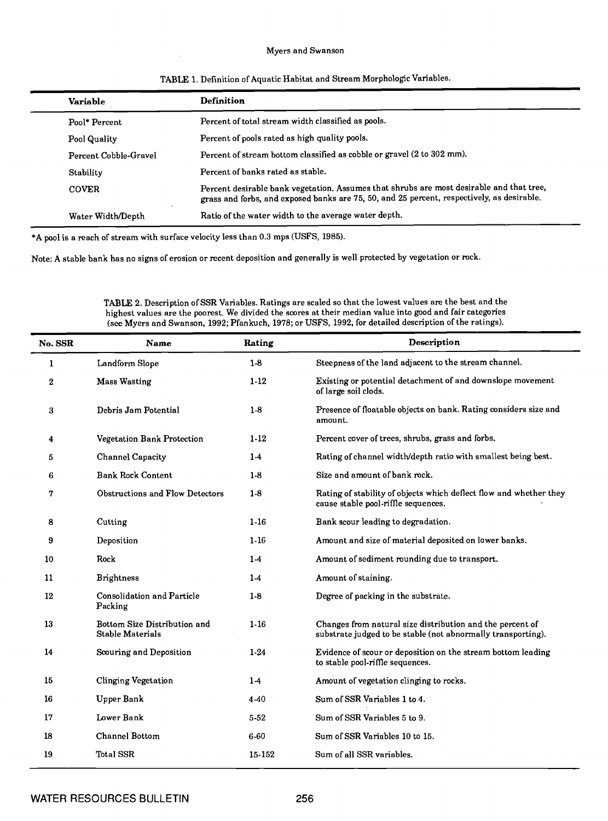## Myers and Swanson

| Variable              | Definition                                                                                                                                                                             |  |  |  |  |  |
|-----------------------|----------------------------------------------------------------------------------------------------------------------------------------------------------------------------------------|--|--|--|--|--|
| Pool* Percent         | Percent of total stream width classified as pools.                                                                                                                                     |  |  |  |  |  |
| Pool Quality          | Percent of pools rated as high quality pools.                                                                                                                                          |  |  |  |  |  |
| Percent Cobble-Gravel | Percent of stream bottom classified as cobble or gravel (2 to 302 mm).                                                                                                                 |  |  |  |  |  |
| Stability             | Percent of banks rated as stable.                                                                                                                                                      |  |  |  |  |  |
| <b>COVER</b>          | Percent desirable bank vegetation. Assumes that shrubs are most desirable and that tree,<br>grass and forbs, and exposed banks are 75, 50, and 25 percent, respectively, as desirable. |  |  |  |  |  |
| Water Width/Depth     | Ratio of the water width to the average water depth.                                                                                                                                   |  |  |  |  |  |

# TABLE 1. Definition of Aquatic Habitat and Stream Morphologic Variables.

\*A pool is a reach of stream with surface velocity less than 0.3 mps (USFS, 1985).

Note: A stable bank has no signs of erosion or recent deposition and generally is well protected by vegetation or rock.

TABLE 2. Description of SSR Variables. Ratings are scaled so that the lowest values are the best and the highest values are the poorest. We divided the scores at their median value into good and fair categories (see Myers and Swanson, 1992; Pfankuch, 1978; or USFS, 1992, for detailed description of the ratings).

| No. SSR          | <b>Name</b>                                      | Rating   | Description                                                                                                               |
|------------------|--------------------------------------------------|----------|---------------------------------------------------------------------------------------------------------------------------|
| 1                | Landform Slope                                   | $1-8$    | Steepness of the land adjacent to the stream channel.                                                                     |
| $\boldsymbol{2}$ | <b>Mass Wasting</b>                              | $1-12$   | Existing or potential detachment of and downslope movement<br>of large soil clods.                                        |
| 3                | Debris Jam Potential                             | $1-8$    | Presence of floatable objects on bank. Rating considers size and<br>amount.                                               |
| 4                | Vegetation Bank Protection                       | $1-12$   | Percent cover of trees, shrubs, grass and forbs.                                                                          |
| 5                | <b>Channel Capacity</b>                          | $1-4$    | Rating of channel width/depth ratio with smallest being best.                                                             |
| 6                | <b>Bank Rock Content</b>                         | $1-8$    | Size and amount of bank rock.                                                                                             |
| 7                | Obstructions and Flow Detectors                  | $1-8$    | Rating of stability of objects which deflect flow and whether they<br>cause stable pool-riffle sequences.                 |
| 8                | Cutting                                          | $1-16$   | Bank scour leading to degradation.                                                                                        |
| 9                | Deposition                                       | $1-16$   | Amount and size of material deposited on lower banks.                                                                     |
| 10               | Rock                                             | $1-4$    | Amount of sediment rounding due to transport.                                                                             |
| 11               | <b>Brightness</b>                                | $1-4$    | Amount of staining.                                                                                                       |
| 12               | Consolidation and Particle<br>Packing            | $1-8$    | Degree of packing in the substrate.                                                                                       |
| 13               | Bottom Size Distribution and<br>Stable Materials | $1 - 16$ | Changes from natural size distribution and the percent of<br>substrate judged to be stable (not abnormally transporting). |
| 14               | Scouring and Deposition                          | $1 - 24$ | Evidence of scour or deposition on the stream bottom leading<br>to stable pool-riffle sequences.                          |
| 15               | <b>Clinging Vegetation</b>                       | $1-4$    | Amount of vegetation clinging to rocks.                                                                                   |
| 16               | Upper Bank                                       | 4-40     | Sum of SSR Variables 1 to 4.                                                                                              |
| 17               | Lower Bank                                       | $5 - 52$ | Sum of SSR Variables 5 to 9.                                                                                              |
| 18               | Channel Bottom                                   | $6 - 60$ | Sum of SSR Variables 10 to 15.                                                                                            |
| 19               | Total SSR                                        | 15-152   | Sum of all SSR variables.                                                                                                 |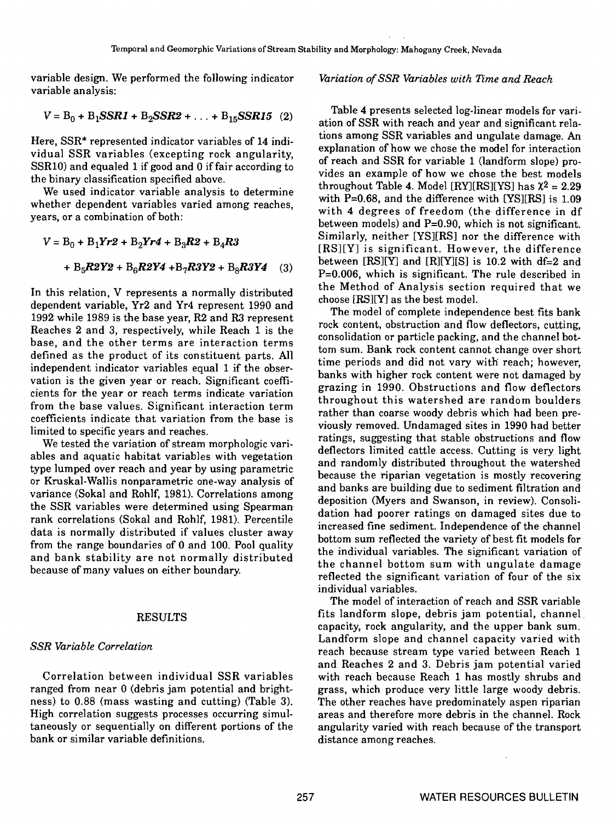variable design. We performed the following indicator variable analysis:

$$
V = B_0 + B_1SSR1 + B_2SSR2 + ... + B_{15}SSR15
$$
 (2)

Here, SSR\* represented indicator variables of 14 individual SSR variables (excepting rock angularity, SSR1O) and equaled 1 if good and 0 if fair according to the binary classification specified above.

We used indicator variable analysis to determine whether dependent variables varied among reaches, years, or a combination of both:

$$
V = B_0 + B_1 Yr^2 + B_2 Yr^4 + B_3 R^2 + B_4 R^3
$$
  
+ B<sub>5</sub>R2Y2 + B<sub>6</sub>R2Y4 + B<sub>7</sub>R3Y2 + B<sub>8</sub>R3Y4 (3) be

In this relation, V represents a normally distributed dependent variable, Yr2 and Yr4 represent 1990 and 1992 while 1989 is the base year, R2 and R3 represent Reaches 2 and 3, respectively, while Reach 1 is the base, and the other terms are interaction terms defined as the product of its constituent parts. All independent indicator variables equal 1 if the observation is the given year or reach. Significant coefficients for the year or reach terms indicate variation from the base values. Significant interaction term coefficients indicate that variation from the base is limited to specific years and reaches.

We tested the variation of stream morphologic variables and aquatic habitat variables with vegetation type lumped over reach and year by using parametric or Kruskal-Wallis nonparametric one-way analysis of variance (Sokal and Rohlf, 1981). Correlations among the SSR variables were determined using Spearman rank correlations (Sokal and Rohlf, 1981). Percentile data is normally distributed if values cluster away from the range boundaries of 0 and 100. Pool quality and bank stability are not normally distributed because of many values on either boundary.

# RESULTS

# SSR Variable Correlation

Correlation between individual SSR variables ranged from near 0 (debris jam potential and brightness) to 0.88 (mass wasting and cutting) (Table 3). High correlation suggests processes occurring simultaneously or sequentially on different portions of the bank or similar variable definitions.

# Variation of SSR Variables with Time and Reach

Table 4 presents selected log-linear models for variation of SSR with reach and year and significant relations among SSR variables and ungulate damage. An explanation of how we chose the model for interaction of reach and SSR for variable 1 (landform slope) provides an example of how we chose the best models throughout Table 4. Model  $[RY][RS][YS]$  has  $X^2 = 2.29$ with  $P=0.68$ , and the difference with [YS][RS] is 1.09 with 4 degrees of freedom (the difference in df between models) and  $P=0.90$ , which is not significant. Similarly, neither [YS]{RS] nor the difference with [RS][Y] is significant. However, the difference between  $[RS][Y]$  and  $[R][Y][S]$  is 10.2 with df=2 and P=0.006, which is significant. The rule described in the Method of Analysis section required that we choose [RS][YJ as the best model.

The model of complete independence best fits bank rock content, obstruction and flow deflectors, cutting, consolidation or particle packing, and the channel bottom sum. Bank rock content cannot change over short time periods and did not vary with reach; however, banks with higher rock content were not damaged by grazing in 1990. Obstructions and flow deflectors throughout this watershed are random boulders rather than coarse woody debris which had been previously removed. Undamaged sites in 1990 had better ratings, suggesting that stable obstructions and flow deflectors limited cattle access. Cutting is very light and randomly distributed throughout the watershed because the riparian vegetation is mostly recovering and banks are building due to sediment filtration and deposition (Myers and Swanson, in review). Consolidation had poorer ratings on damaged sites due to increased fine sediment. Independence of the channel bottom sum reflected the variety of best fit models for the individual variables. The significant variation of the channel bottom sum with ungulate damage reflected the significant variation of four of the six individual variables.

The model of interaction of reach and SSR variable fits landform slope, debris jam potential, channel capacity, rock angularity, and the upper bank sum. Landform slope and channel capacity varied with reach because stream type varied between Reach 1 and Reaches 2 and 3. Debris jam potential varied with reach because Reach 1 has mostly shrubs and grass, which produce very little large woody debris. The other reaches have predominately aspen riparian areas and therefore more debris in the channel. Rock angularity varied with reach because of the transport distance among reaches.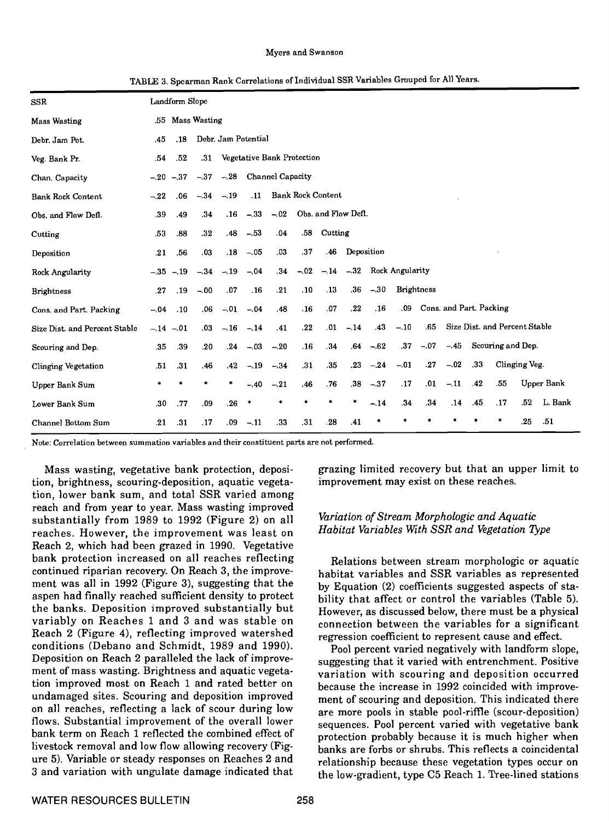### Myers and Swanson

| SSR                           |        | Landform Slope |        |                     |                            |        |        |                          |             |             |                               |        |                         |     |                               |               |            |
|-------------------------------|--------|----------------|--------|---------------------|----------------------------|--------|--------|--------------------------|-------------|-------------|-------------------------------|--------|-------------------------|-----|-------------------------------|---------------|------------|
| <b>Mass Wasting</b>           | .55    | Mass Wasting   |        |                     |                            |        |        |                          |             |             |                               |        |                         |     |                               |               |            |
| Debr. Jam Pot.                | .45    | .18            |        | Debr. Jam Potential |                            |        |        |                          |             |             |                               |        |                         |     |                               |               |            |
| Veg. Bank Pr.                 | .54    | .52            | .31    |                     | Vegetative Bank Protection |        |        |                          |             |             |                               |        |                         |     |                               |               |            |
| Chan. Capacity                | $-.20$ | $-.37$         | $-.37$ |                     | -.28 Channel Capacity      |        |        |                          |             |             |                               |        |                         |     |                               |               |            |
| <b>Bank Rock Content</b>      | $-.22$ | .06            | $-.34$ | $-.19$              | .11                        |        |        | <b>Bank Rock Content</b> |             |             |                               |        |                         |     |                               |               |            |
| Obs. and Flow Defl.           | .39    | .49            | .34    | $.16\,$             | $-.33$                     |        |        | -.02 Obs. and Flow Deft. |             |             |                               |        |                         |     |                               |               |            |
| Cutting                       | .53    | .88            | .32    | .48                 | $-.53$                     | .04    | .58    | Cutting                  |             |             |                               |        |                         |     |                               |               |            |
| Deposition                    | .21    | .56            | .03    |                     | $.18 - .05$                | .03    | .37    | .46                      | Deposition  |             |                               |        |                         |     |                               |               |            |
| Rock Angularity               | $-.35$ | $-.19$         | $-.34$ | $-.19$              | $-.04$                     | .34    | $-.02$ |                          |             |             | $-.14$ $-.32$ Rock Angularity |        |                         |     |                               |               |            |
| <b>Brightness</b>             | .27    | .19            | $-.00$ | .07                 | .16                        | .21    | .10    | .13                      |             | $.36 - .30$ | <b>Brightness</b>             |        |                         |     |                               |               |            |
| Cons. and Part. Packing       | $-.04$ | .10            | .06    |                     | $-.01-.04$                 | .48    | .16    | .07                      | ${\bf .22}$ | .16         | .09                           |        | Cons. and Part. Packing |     |                               |               |            |
| Size Dist. and Percent Stable |        | $-.14-.01$     | .03    |                     | $-.16-.14$                 | .41    | .22    | .01                      | $-.14$      | .43         | $-.10$                        | .65    |                         |     | Size Dist. and Percent Stable |               |            |
| Scouring and Dep.             | .35    | .39            | .20    |                     | $.24 - .03$                | $-.20$ | .16    | .34                      |             | $.64 - .62$ | .37                           | $-.07$ |                         |     | $-45$ Scouring and Dep.       |               |            |
| Clinging Vegetation           | .51    | .31            | .46    | .42                 | $-.19$                     | $-.34$ | .31    | .35                      | .23         | $-.24$      | $-.01$                        | .27    | $-.02$                  | .33 |                               | Clinging Veg. |            |
| Upper Bank Sum                | *      | *              | *      | *                   | $-.40$                     | $-.21$ | .46    | .76                      |             | $.38 - .37$ | .17                           | .01    | $-.11$                  | .42 | .55                           |               | Upper Bank |
| Lower Bank Sum                | .30    | .77            | .09    | .26                 | *                          | *      | *      |                          |             | $-.14$      | .34                           | .34    | .14                     | .45 | .17                           | .52           | L. Bank    |
| Channel Bottom Sum            | .21    | .31            | .17    | .09                 | $-.11$                     | .33    | .31    | .28                      | .41         |             |                               |        |                         |     | $\ast$                        | .25           | .51        |

TABLE 3. Spearman Rank Correlations of Individual SSR Variables Gmuped for All Years.

Note: Correlation between summation variables and their constituent parts are not performed.

Mass wasting, vegetative bank protection, deposition, brightness, scouring-deposition, aquatic vegetation, lower bank sum, and total SSR varied among reach and from year to year. Mass wasting improved substantially from 1989 to 1992 (Figure 2) on all reaches. However, the improvement was least on Reach 2, which had been grazed in 1990. Vegetative bank protection increased on all reaches reflecting continued riparian recovery On Reach 3, the improvement was all in 1992 (Figure 3), suggesting that the by Equation (2) coefficients suggested aspects of staaspen had finally reached sufficient density to protect the banks. Deposition improved substantially but variably on Reaches 1 and 3 and was stable on Reach 2 (Figure 4), reflecting improved watershed conditions (Debano and Schmidt, 1989 and 1990). Deposition on Reach 2 paralleled the lack of improvement of mass wasting. Brightness and aquatic vegetation improved most on Reach 1 and rated better on undamaged sites. Scouring and deposition improved on all reaches, reflecting a lack of scour during low flows. Substantial improvement of the overall lower bank term on Reach 1 reflected the combined effect of livestock removal and low flow allowing recovery (Figure 5). Variable or steady responses on Reaches 2 and 3 and variation with ungulate damage indicated that

grazing limited recovery but that an upper limit to improvement may exist on these reaches.

# Variation of Stream Morphologic and Aquatic Habitat Variables With SSR and Vegetation Type

Relations between stream morphologic or aquatic habitat variables and SSR variables as represented bility that affect or control the variables (Table 5). However, as discussed below, there must be a physical connection between the variables for a significant regression coefficient to represent cause and effect.

Pool percent varied negatively with landform slope, suggesting that it varied with entrenchment. Positive variation with scouring and deposition occurred because the increase in 1992 coincided with improvement of scouring and deposition. This indicated there are more pools in stable pool-riffle (scour-deposition) sequences. Pool percent varied with vegetative bank protection probably because it is much higher when banks are forbs or shrubs. This reflects a coincidental relationship because these vegetation types occur on the low-gradient, type C5 Reach 1. Tree-lined stations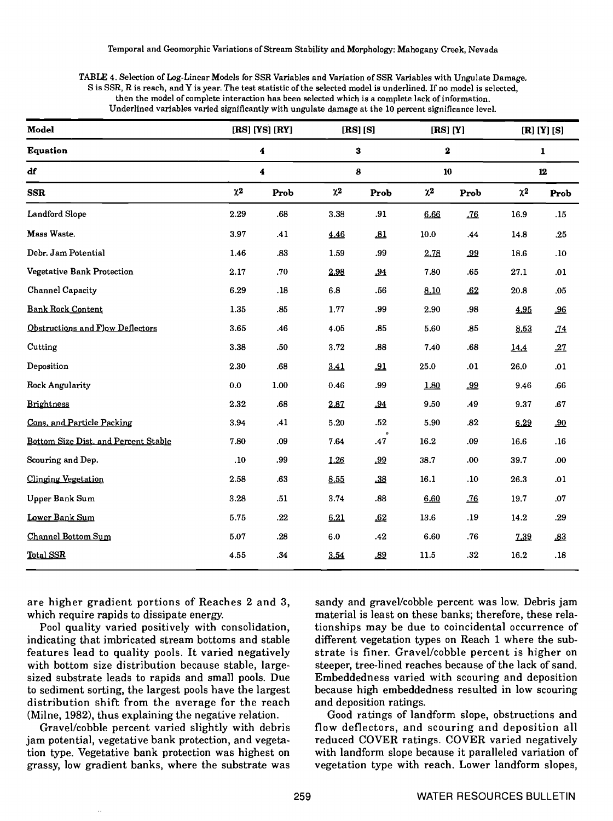| TABLE 4. Selection of Log-Linear Models for SSR Variables and Variation of SSR Variables with Ungulate Damage.        |  |
|-----------------------------------------------------------------------------------------------------------------------|--|
| S is SSR, R is reach, and Y is year. The test statistic of the selected model is underlined. If no model is selected, |  |
| then the model of complete interaction has been selected which is a complete lack of information.                     |  |
| Underlined variables varied significantly with ungulate damage at the 10 percent significance level.                  |  |

| Model                                | $[RS]$ $[YS]$ $[RY]$<br>$\blacktriangleleft$<br>$\boldsymbol{4}$ |             | [RS] [S]<br>${\bf 3}$<br>8 |         | $[RS]$ $[Y]$<br>$\boldsymbol{2}$<br>10 |                            | $[R]$ $[Y]$ $[S]$<br>$\mathbf{1}$<br>${\bf 12}$ |             |
|--------------------------------------|------------------------------------------------------------------|-------------|----------------------------|---------|----------------------------------------|----------------------------|-------------------------------------------------|-------------|
| <b>Equation</b>                      |                                                                  |             |                            |         |                                        |                            |                                                 |             |
| df                                   |                                                                  |             |                            |         |                                        |                            |                                                 |             |
| $_{\rm SSR}$                         | $\chi^2$                                                         | Prob        | $\chi2$                    | Prob    | $\chi2$                                | Prob                       | $\chi2$                                         | Prob        |
| Landford Slope                       | 2.29                                                             | $.68\,$     | 3.38                       | .91     | 6.66                                   | .76                        | 16.9                                            | .15         |
| Mass Waste.                          | 3.97                                                             | .41         | 4.46                       | .81     | $10.0\,$                               | .44                        | 14.8                                            | $\bf .25$   |
| Debr. Jam Potential                  | 1.46                                                             | .83         | 1.59                       | .99     | 2.78                                   | .99                        | 18.6                                            | .10         |
| Vegetative Bank Protection           | 2.17                                                             | $.70\,$     | 2.98                       | .94     | 7.80                                   | .65                        | 27.1                                            | .01         |
| <b>Channel Capacity</b>              | 6.29                                                             | ${\bf .18}$ | $_{\rm 6.8}$               | .56     | 8.10                                   | $\underline{\mathbf{.62}}$ | $20.8\,$                                        | .05         |
| <b>Bank Rock Content</b>             | 1.35                                                             | .85         | 1.77                       | .99     | 2.90                                   | .98                        | 4.95                                            | .96         |
| Obstructions and Flow Deflectors     | 3.65                                                             | .46         | 4.05                       | .85     | 5.60                                   | .85                        | 8.53                                            | .74         |
| Cutting                              | 3.38                                                             | $.50\,$     | 3.72                       | .88     | 7.40                                   | ${\bf .68}$                | 14.4                                            | .27         |
| Deposition                           | 2.30                                                             | .68         | 3.41                       | .91     | 25.0                                   | .01                        | 26.0                                            | .01         |
| Rock Angularity                      | $\mathbf{0.0}$                                                   | 1.00        | 0.46                       | .99     | 1.80                                   | .99                        | 9.46                                            | $.66\,$     |
| <b>Brightness</b>                    | 2.32                                                             | $.68\,$     | 2.87                       | .94     | 9.50                                   | .49                        | 9.37                                            | ${\bf .67}$ |
| Cons. and Particle Packing           | 3.94                                                             | .41         | 5.20                       | $.52\,$ | 5.90                                   | .82                        | 6.29                                            | .90         |
| Bottom Size Dist. and Percent Stable | 7.80                                                             | .09         | 7.64                       | .47     | 16.2                                   | .09                        | 16.6                                            | .16         |
| Scouring and Dep.                    | .10                                                              | .99         | 1.26                       | .99     | 38.7                                   | .00.                       | 39.7                                            | .00.        |
| <b>Clinging Vegetation</b>           | 2.58                                                             | .63         | 8.55                       | .38     | 16.1                                   | .10                        | 26.3                                            | .01         |
| Upper Bank Sum                       | 3.28                                                             | .51         | 3.74                       | .88     | 6.60                                   | .76                        | 19.7                                            | .07         |
| Lower Bank Sum                       | 5.75                                                             | $.22\,$     | 6.21                       | .62     | 13.6                                   | .19                        | $14.2\,$                                        | .29         |
| Channel Bottom Sum                   | 5.07                                                             | .28         | $6.0\,$                    | .42     | 6.60                                   | .76                        | 7.39                                            | .83         |
| Total SSR                            | 4.55                                                             | .34         | 3.54                       | .89     | 11.5                                   | .32                        | 16.2                                            | .18         |
|                                      |                                                                  |             |                            |         |                                        |                            |                                                 |             |

are higher gradient portions of Reaches 2 and 3, which require rapids to dissipate energy.

Pool quality varied positively with consolidation, indicating that imbricated stream bottoms and stable features lead to quality pools. It varied negatively with bottom size distribution because stable, largesized substrate leads to rapids and small pools. Due to sediment sorting, the largest pools have the largest distribution shift from the average for the reach and deposition ratings.<br>(Milne, 1982), thus explaining the negative relation. Good ratings of lan

Gravel/cobble percent varied slightly with debris jam potential, vegetative bank protection, and vegetation type. Vegetative bank protection was highest on grassy, low gradient banks, where the substrate was sandy and gravel/cobble percent was low. Debris jam material is least on these banks; therefore, these relationships may be due to coincidental occurrence of different vegetation types on Reach 1 where the substrate is finer. Gravel/cobble percent is higher on steeper, tree-lined reaches because of the lack of sand. Embeddedness varied with scouring and deposition because high embeddedness resulted in low scouring

Good ratings of landform slope, obstructions and flow deflectors, and scouring and deposition all reduced COVER ratings. COVER varied negatively with landform slope because it paralleled variation of vegetation type with reach. Lower landform slopes,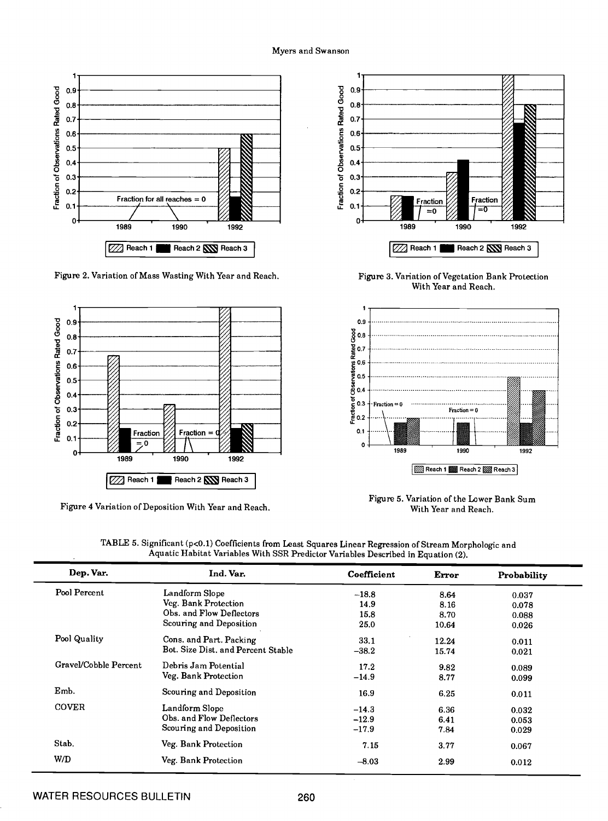## Myers and Swanson



Figure 2. Variation of Mass Wasting With Year and Reach.



Figure 4 Variation of Deposition With Year and Reach.



Figure 3. Variation of Vegetation Bank Protection With Year and Reach.



Figure 5. Variation of the Lower Bank Sum With Year and Reach.

| Dep. Var.             | Ind. Var.                          | Coefficient | Error | Probability |  |
|-----------------------|------------------------------------|-------------|-------|-------------|--|
| Pool Percent          | Landform Slope                     | $-18.8$     | 8.64  | 0.037       |  |
|                       | Veg. Bank Protection               | 14.9        | 8.16  | 0.078       |  |
|                       | Obs. and Flow Deflectors           | 15.8        | 8.70  | 0.088       |  |
|                       | Scouring and Deposition            | 25.0        | 10.64 | 0.026       |  |
| Pool Quality          | Cons. and Part. Packing            | 33.1        | 12.24 | 0.011       |  |
|                       | Bot. Size Dist. and Percent Stable | $-38.2$     | 15.74 | 0.021       |  |
| Gravel/Cobble Percent | Debris Jam Potential               | 17.2        | 9.82  | 0.089       |  |
|                       | Veg. Bank Protection               | $-14.9$     | 8.77  | 0.099       |  |
| Emb.                  | Scouring and Deposition            | 16.9        | 6.25  | 0.011       |  |
| <b>COVER</b>          | Landform Slope                     | $-14.3$     | 6.36  | 0.032       |  |
|                       | Obs. and Flow Deflectors           | $-12.9$     | 6.41  | 0.053       |  |
|                       | Scouring and Deposition            | $-17.9$     | 7.84  | 0.029       |  |
| Stab.                 | Veg. Bank Protection               | 7.15        | 3.77  | 0.067       |  |
| W/D                   | Veg. Bank Protection               | $-8.03$     | 2.99  | 0.012       |  |

TABLE 5. Significant (p<0.1) Coefficients from Least Squares Linear Regression of Stream Morphologic and Aquatic Habitat Variables With SSR Predictor Variables Described in Equation (2).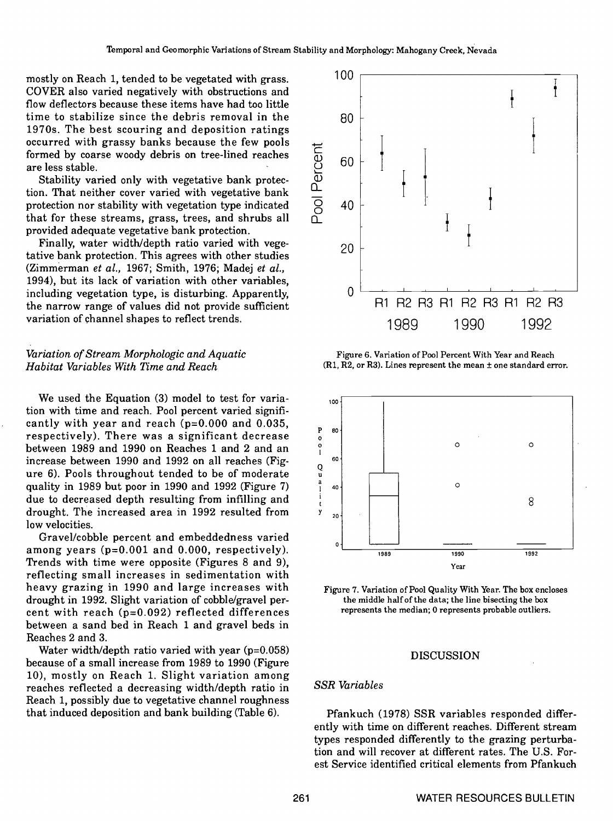mostly on Reach 1, tended to be vegetated with grass. COVER also varied negatively with obstructions and flow deflectors because these items have had too little time to stabilize since the debris removal in the 1970s. The best scouring and deposition ratings occurred with grassy banks because the few pools formed by coarse woody debris on tree-lined reaches are less stable.

Stability varied only with vegetative bank protection. That neither cover varied with vegetative bank protection nor stability with vegetation type indicated that for these streams, grass, trees, and shrubs all

Finally, water width/depth ratio varied with vegetative bank protection. This agrees with other studies (Zimmerman et al., 1967; Smith, 1976; Madej et al., 1994), but its lack of variation with other variables, including vegetation type, is disturbing. Apparently, the narrow range of values did not provide sufficient variation of channel shapes to reflect trends.

# Variation of Stream Morphologic and Aquatic Habitat Variables With Time and Reach

We used the Equation (3) model to test for variation with time and reach. Pool percent varied significantly with year and reach ( $p=0.000$  and 0.035,<br>respectively). There was a significant decrease between 1989 and 1990 on Reaches 1 and 2 and an increase between 1990 and 1992 on all reaches (Figure 6). Pools throughout tended to be of moderate quality in 1989 but poor in 1990 and 1992 (Figure 7) due to decreased depth resulting from infilling and  $\frac{1}{t}$ drought. The increased area in 1992 resulted from low velocities.

Gravel/cobble percent and embeddedness varied among years (p=0.001 and 0.000, respectively).<br>Trends with time were opposite (Figures 8 and 9),<br>reflecting small increases in sedimentation with heavy grazing in 1990 and large increases with drought in 1992. Slight variation of cobble/gravel per- cent with reach (p=0.O92) reflected differences between a sand bed in Reach 1 and gravel beds in Reaches 2 and 3.

Water width/depth ratio varied with year  $(p=0.058)$ because of a small increase from 1989 to 1990 (Figure 10), mostly on Reach 1. Slight variation among reaches reflected a decreasing width/depth ratio in Reach 1, possibly due to vegetative channel roughness that induced deposition and bank building (Table 6).



Figure 6. Variation of Pool Percent With Year and Reach  $(R1, R2,$  or R3). Lines represent the mean  $\pm$  one standard error.



Figure 7. Variation of Pool Quality With Year. The box encloses the middle half of the data; the line bisecting the box represents the median; 0 represents probable outliers.

# DISCUSSION

# SSR Variables

Pfankuch (1978) SSR variables responded differently with time on different reaches. Different stream types responded differently to the grazing perturbation and will recover at different rates. The U.S. Forest Service identified critical elements from Pfankuch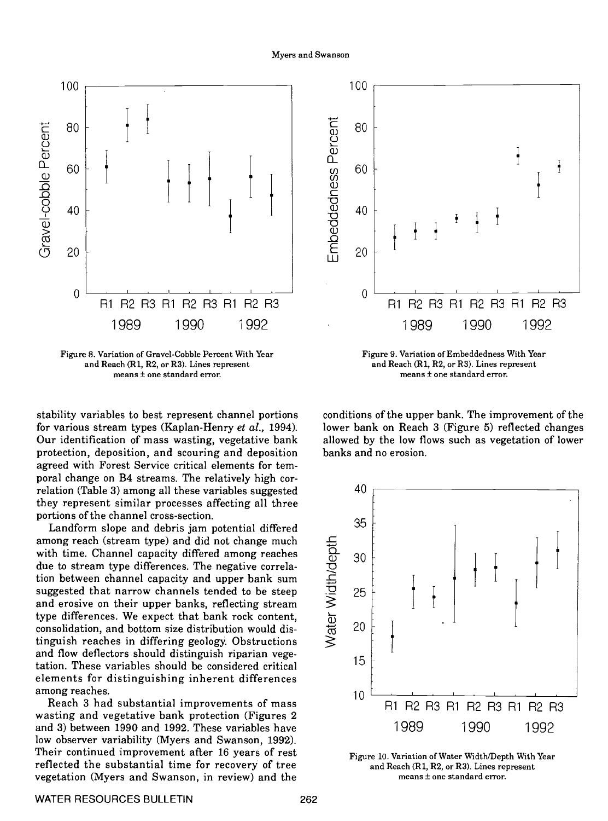

Figure 8. Variation of Gravel-Cobble Percent With Year Figure 9. Variation of Embeddedness With Year Figure 9. Variation of Embeddedness With Year and Reach (R1, R2, or R3). Lines represent means  $±$  one standard error.

stability variables to best represent channel portions for various stream types (Kaplan-Henry et al., 1994). Our identification of mass wasting, vegetative bank protection, deposition, and scouring and deposition agreed with Forest Service critical elements for temporal change on B4 streams. The relatively high correlation (Table 3) among all these variables suggested they represent similar processes affecting all three portions of the channel cross-section.

Landform slope and debris jam potential differed among reach (stream type) and did not change much with time. Channel capacity differed among reaches due to stream type differences. The negative correlation between channel capacity and upper bank sum suggested that narrow channels tended to be steep and erosive on their upper banks, reflecting stream type differences. We expect that bank rock content, consolidation, and bottom size distribution would distinguish reaches in differing geology. Obstructions and flow deflectors should distinguish riparian vegetation. These variables should be considered critical elements for distinguishing inherent differences among reaches. Reach 3 had substantial improvements of mass

wasting and vegetative bank protection (Figures 2 and 3) between 1990 and 1992. These variables have low observer variability (Myers and Swanson, 1992). Their continued improvement after 16 years of rest reflected the substantial time for recovery of tree vegetation (Myers and Swanson, in review) and the



and Reach (R1, R2, or R3). Lines represent means  $\pm$  one standard error.

conditions of the upper bank. The improvement of the lower bank on Reach 3 (Figure 5) reflected changes allowed by the low flows such as vegetation of lower banks and no erosion.



Figure 10. Variation of Water Width/Depth With Year and Reach (Ri, R2, or R3). Lines represent means ± one standard error.

## WATER RESOURCES BULLETIN 262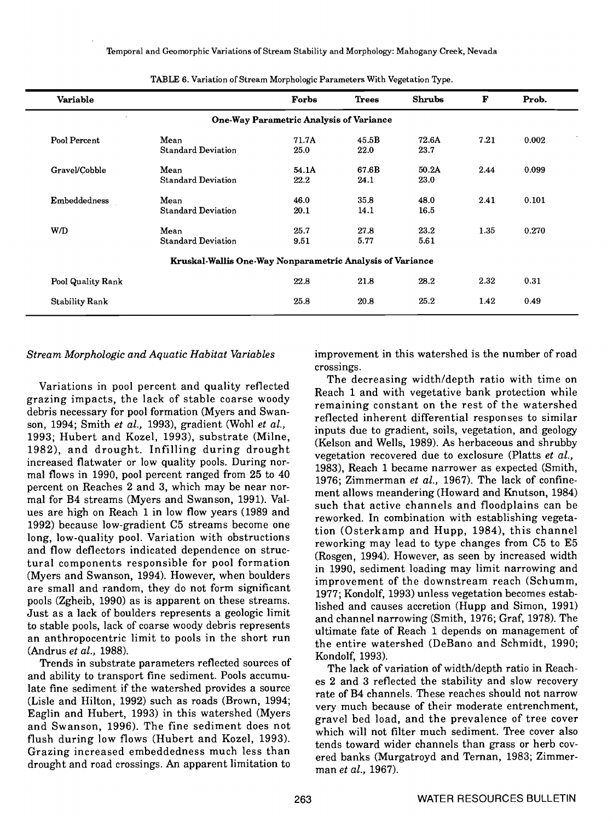| Variable              |                                                           | Forbs                                   | <b>Trees</b> | <b>Shrubs</b> | F    | Prob. |
|-----------------------|-----------------------------------------------------------|-----------------------------------------|--------------|---------------|------|-------|
|                       |                                                           | One-Way Parametric Analysis of Variance |              |               |      |       |
| Pool Percent          | Mean                                                      | 71.7A                                   | 45.5B        | 72.6A         | 7.21 | 0.002 |
|                       | <b>Standard Deviation</b>                                 | 25.0                                    | 22.0         | 23.7          |      |       |
| Gravel/Cobble         | Mean                                                      | 54.1A                                   | 67.6B        | 50.2A         | 2.44 | 0.099 |
|                       | <b>Standard Deviation</b>                                 | 22.2                                    | 24.1         | 23.0          |      |       |
| Embeddedness          | Mean                                                      | 46.0                                    | 35.8         | 48.0          | 2.41 | 0.101 |
|                       | <b>Standard Deviation</b>                                 | 20.1                                    | 14.1         | 16.5          |      |       |
| W/D                   | Mean                                                      | 25.7                                    | 27.8         | 23.2          | 1.35 | 0.270 |
|                       | <b>Standard Deviation</b>                                 | 9.51                                    | 5.77         | 5.61          |      |       |
|                       | Kruskal-Wallis One-Way Nonparametric Analysis of Variance |                                         |              |               |      |       |
| Pool Quality Rank     |                                                           | 22.8                                    | 21.8         | 28.2          | 2.32 | 0.31  |
| <b>Stability Rank</b> |                                                           | 25.8                                    | 20.8         | 25.2          | 1.42 | 0.49  |

| TABLE 6. Variation of Stream Morphologic Parameters With Vegetation Type. |
|---------------------------------------------------------------------------|
|---------------------------------------------------------------------------|

# Stream Morphologic and Aquatic Habitat Variables

Variations in pooi percent and quality reflected grazing impacts, the lack of stable coarse woody debris necessary for pool formation (Myers and Swanson, 1994; Smith et al., 1993), gradient (Wohi et al., 1993; Hubert and Kozel, 1993), substrate (Milne, 1982), and drought. Infilling during drought increased flatwater or low quality pools. During normal flows in 1990, pooi percent ranged from 25 to 40 percent on Reaches 2 and 3, which may be near normal for B4 streams (Myers and Swanson, 1991). Values are high on Reach 1 in low flow years (1989 and 1992) because low-gradient C5 streams become one long, low-quality pool. Variation with obstructions and flow deflectors indicated dependence on structural components responsible for pooi formation (Myers and Swanson, 1994). However, when boulders are small and random, they do not form significant pools (Zgheib, 1990) as is apparent on these streams. Just as a lack of boulders represents a geologic limit to stable pools, lack of coarse woody debris represents an anthropocentric limit to pools in the short run (Andrus et al., 1988).

Trends in substrate parameters reflected sources of and ability to transport fine sediment. Pools accumulate fine sediment if the watershed provides a source (Lisle and Hilton, 1992) such as roads (Brown, 1994; Eaglin and Hubert, 1993) in this watershed (Myers and Swanson, 1996). The fine sediment does not flush during low flows (Hubert and Kozel, 1993). Grazing increased embeddedness much less than drought and road crossings. An apparent limitation to

improvement in this watershed is the number of road crossings. The decreasing width/depth ratio with time on

Reach 1 and with vegetative bank protection while remaining constant on the rest of the watershed reflected inherent differential responses to similar inputs due to gradient, soils, vegetation, and geology (Kelson and Wells, 1989). As herbaceous and shrubby vegetation recovered due to exclosure (Platts et al., 1983), Reach 1 became narrower as expected (Smith, 1976; Zimmerman et al., 1967). The lack of confinement allows meandering (Howard and Knutson, 1984) such that active channels and floodplains can be reworked. In combination with establishing vegetation (Osterkamp and Hupp, 1984), this channel reworking may lead to type changes from CS to E5 (Rosgen, 1994). However, as seen by increased width in 1990, sediment loading may limit narrowing and improvement of the downstream reach (Schumm, 1977; Kondolf, 1993) unless vegetation becomes established and causes accretion (Hupp and Simon, 1991) and channel narrowing (Smith, 1976; Graf, 1978). The ultimate fate of Reach 1 depends on management of the entire watershed (DeBano and Schmidt, 1990; Kondoif, 1993).

The lack of variation of width/depth ratio in Reaches 2 and 3 reflected the stability and slow recovery rate of B4 channels. These reaches should not narrow very much because of their moderate entrenchment, gravel bed load, and the prevalence of tree cover which will not filter much sediment. Tree cover also tends toward wider channels than grass or herb covered banks (Murgatroyd and Ternan, 1983; Zimmerman et al., 1967).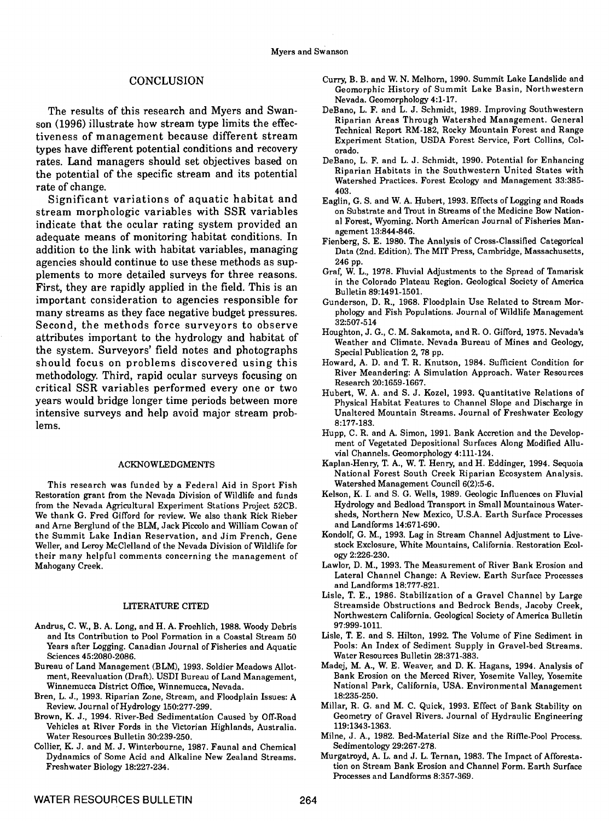## CONCLUSION

The results of this research and Myers and Swanson (1996) illustrate how stream type limits the effectiveness of management because different stream types have different potential conditions and recovery rates. Land managers should set objectives based on the potential of the specific stream and its potential

rate of change. Significant variations of aquatic habitat and stream morphologic variables with SSR variables indicate that the ocular rating system provided an adequate means of monitoring habitat conditions. In addition to the link with habitat variables, managing agencies should continue to use these methods as supplements to more detailed surveys for three reasons. First, they are rapidly applied in the field. This is an important consideration to agencies responsible for Second, the methods force surveyors to observe. attributes important to the hydrology and habitat of the system. Surveyors' field notes and photographs Special Publication 2, 78 pp. should focus on problems discovered using this methodology. Third, rapid ocular surveys focusing on critical SSR variables performed every one or two years would bridge longer time periods between more intensive surveys and help avoid major stream problems.

#### ACKNOWLEDGMENTS

This research was funded by a Federal Aid in Sport Fish Restoration grant from the Nevada Division of Wildlife and funds from the Nevada Agricultural Experiment Stations Project 52CB. We thank G. Fred Gifford for review. We also thank Rick Rieber and Arne Bergiund of the BLM, Jack Piccolo and William Cowan of the Summit Lake Indian Reservation, and Jim French, Gene Weller, and Leroy McClelland of the Nevada Division of Wildlife for their many helpful comments concerning the management of Mahogany Creek.

### LiTERATURE CITED

- Andrus, C. W., B. A. Long, and H. A. Froehlich, 1988. Woody Debris and Its Contribution to Pool Formation in a Coastal Stream 50 Years after Logging. Canadian Journal of Fisheries and Aquatic Sciences 45:2080-2086.
- Bureau of Land Management (BLM), 1993. Soldier Meadows Allotment, Reevaluation (Draft). USD1 Bureau of Land Management, Winnemucca District Office, Winnemucca, Nevada.
- Bren, L. J., 1993. Riparian Zone, Stream, and Floodplain Issues: A Review. Journal of Hydrology 150:277-299.
- Brown, K. J., 1994. River-Bed Sedimentation Caused by Off-Road Vehicles at River Fords in the Victorian Highlands, Australia. Water Resources Bulletin 30:239-250.
- Collier, K. J. and M. J. Winterbourne, 1987. Faunal and Chemical Dydnamics of Some Acid and Alkaline New Zealand Streams. Freshwater Biology 18:227.234.
- Curry B. B. and W. N. Melhorn, 1990. Summit Lake Landslide and Geomorphic History of Summit Lake Basin, Northwestern Nevada. Geomorphology 4:1-17.
- DeBano, L. F. and L. J. Schmidt, 1989. Improving Southwestern Riparian Areas Through Watershed Management. General Technical Report RM-182, Rocky Mountain Forest and Range Experiment Station, USDA Forest Service, Fort Collins, Colorado.
- DeBano, L. F. and L. J. Schmidt, 1990. Potential for Enhancing Riparian Habitats in the Southwestern United States with Watershed Practices. Forest Ecology and Management 33:385- 403.
- Eaglin, G. S. and W. A. Hubert, 1993. Effects of Logging and Roads on Substrate and Trout in Streams of the Medicine Bow National Forest, Wyoming. North American Journal of Fisheries Management 13:844-846.
- Fienberg, S. E. 1980. The Analysis of Cross-Classified Categorical Data (2nd. Edition). The MiT Press, Cambridge, Massachusetts, 246 pp.
- Graf, W. L., 1978. Fluvial Adjustments to the Spread of Tamarisk in the Colorado Plateau Region. Geological Society of America Bulletin 89:1491-1501.
- Gunderson, D. R., 1968. Floodplain Use Related to Stream Morphology and Fish Populations. Journal of Wildlife Management 32:507-514
- Houghton, J. G., C. M. Sakamota, and R. O. Gifford, 1975. Nevada's Weather and Climate. Nevada Bureau of Mines and Geology,
- Howard, A. D. and T. R. Knutson, 1984. Sufficient Condition for River Meandering: A Simulation Approach. Water Resources Research 20:1659-1667.
- Hubert, W. A. and S. J. Kozel, 1993. Quantitative Relations of Physical Habitat Features to Channel Slope and Discharge in Unaltered Mountain Streams. Journal of Freshwater Ecology 8:177-183.
- Hupp, C. R. and A. Simon, 1991. Bank Accretion and the Development of Vegetated Depositional Surfaces Along Modified Alluvial Channels. Geomorphology 4:111-124.
- Kaplan-Henry, T. A., W. T. Henry, and H. Eddinger, 1994. Sequoia National Forest South Creek Riparian Ecosystem Analysis. Watershed Management Council 6(2):5-6.
- Kelson, K. I. and S. G. Wells, 1989. Geologic Influences on Fluvial Hydrology and Bedload Transport in Small Mountainous Watersheds, Northern New Mexico, U.S.A. Earth Surface Processes and Landforms 14:671-690.
- Kondolf, G. M., 1993. Lag in Stream Channel Adjustment to Livestock Exclosure, White Mountains, California. Restoration Ecology 2:226-230.
- Lawlor, D. M., 1993. The Measurement of River Bank Erosion and Lateral Channel Change: A Review. Earth Surface Processes and Landforms 18:777-821.
- Lisle, T. E., 1986. Stabilization of a Gravel Channel by Large Streamside Obstructions and Bedrock Bends, Jacoby Creek, Northwestern California. Geological Society of America Bulletin 97:999-1011.
- Lisle, T. E. and S. Hilton, 1992. The Volume of Fine Sediment in Pools: An Index of Sediment Supply in Gravel-bed Streams. Water Resources Bulletin 28:371-383.
- Madej, M. A., W. E. Weaver, and D. K. Hagans, 1994. Analysis of Bank Erosion on the Merced River, Yosemite Valley, Yosemite National Park, California, USA. Environmental Management 18:235-250.
- Millar, R. G. and M. C. Quick, 1993. Effect of Bank Stability on Geometry of Gravel Rivers. Journal of Hydraulic Engineering 119:1343-1363.
- Milne, J. A., 1982. Bed-Material Size and the Riffle-Pool Process. Sedimentology 29:267-278.
- Murgatroyd, A. L. and J. L. Ternan, 1983. The Impact of Afforestation on Stream Bank Erosion and Channel Form. Earth Surface Processes and Landforms 8:357-369.